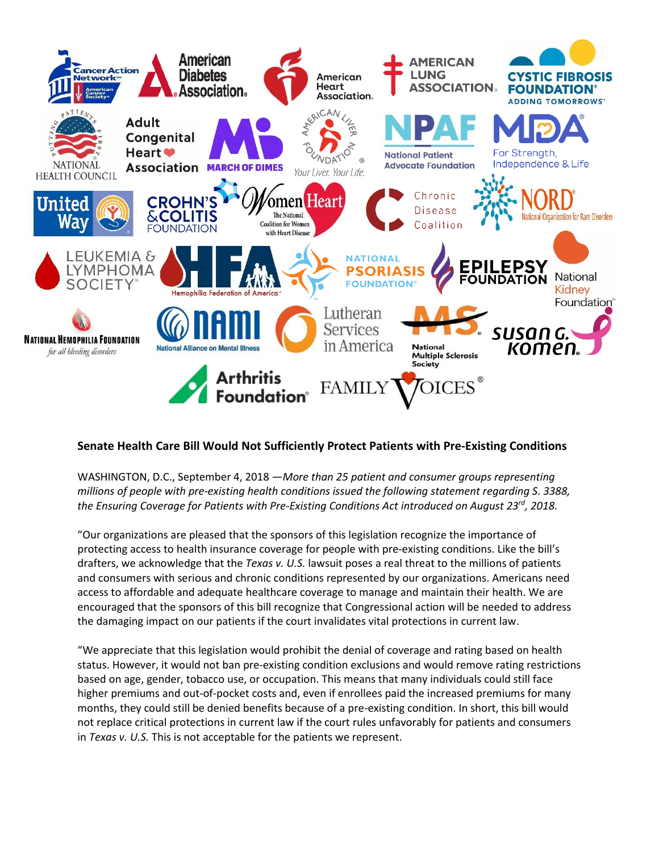

## **Senate Health Care Bill Would Not Sufficiently Protect Patients with Pre-Existing Conditions**

WASHINGTON, D.C., September 4, 2018 —*More than 25 patient and consumer groups representing millions of people with pre-existing health conditions issued the following statement regarding S. 3388, the Ensuring Coverage for Patients with Pre-Existing Conditions Act introduced on August 23rd, 2018.* 

"Our organizations are pleased that the sponsors of this legislation recognize the importance of protecting access to health insurance coverage for people with pre-existing conditions. Like the bill's drafters, we acknowledge that the *Texas v. U.S.* lawsuit poses a real threat to the millions of patients and consumers with serious and chronic conditions represented by our organizations. Americans need access to affordable and adequate healthcare coverage to manage and maintain their health. We are encouraged that the sponsors of this bill recognize that Congressional action will be needed to address the damaging impact on our patients if the court invalidates vital protections in current law.

"We appreciate that this legislation would prohibit the denial of coverage and rating based on health status. However, it would not ban pre-existing condition exclusions and would remove rating restrictions based on age, gender, tobacco use, or occupation. This means that many individuals could still face higher premiums and out-of-pocket costs and, even if enrollees paid the increased premiums for many months, they could still be denied benefits because of a pre-existing condition. In short, this bill would not replace critical protections in current law if the court rules unfavorably for patients and consumers in *Texas v. U.S.* This is not acceptable for the patients we represent.